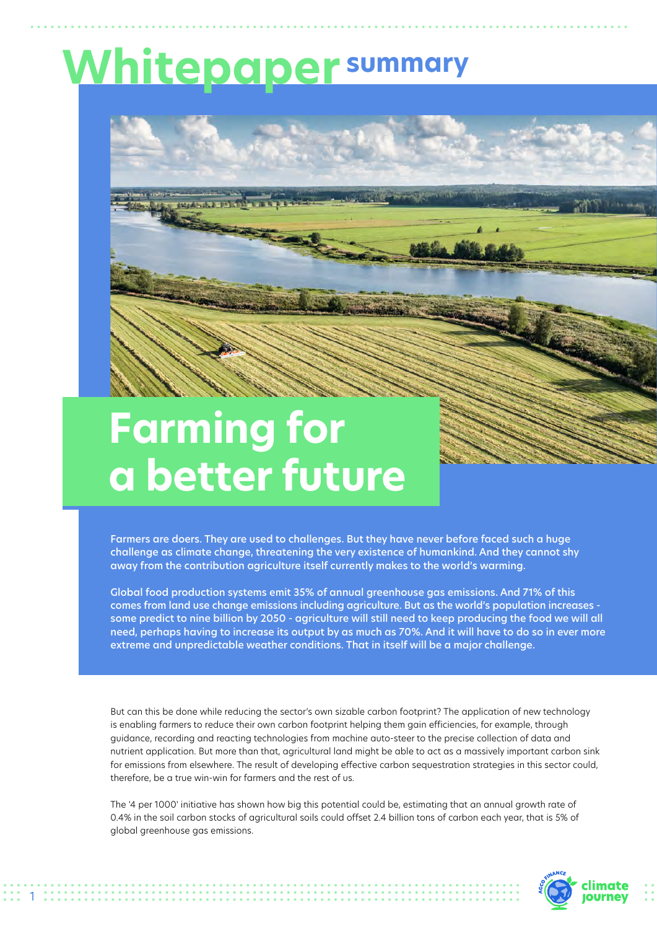## **Whitepaper summary**



## **Farming for a better future**

1

Farmers are doers. They are used to challenges. But they have never before faced such a huge challenge as climate change, threatening the very existence of humankind. And they cannot shy away from the contribution agriculture itself currently makes to the world's warming.

Global food production systems emit 35% of annual greenhouse gas emissions. And 71% of this comes from land use change emissions including agriculture. But as the world's population increases some predict to nine billion by 2050 - agriculture will still need to keep producing the food we will all need, perhaps having to increase its output by as much as 70%. And it will have to do so in ever more extreme and unpredictable weather conditions. That in itself will be a major challenge.

But can this be done while reducing the sector's own sizable carbon footprint? The application of new technology is enabling farmers to reduce their own carbon footprint helping them gain efficiencies, for example, through guidance, recording and reacting technologies from machine auto-steer to the precise collection of data and nutrient application. But more than that, agricultural land might be able to act as a massively important carbon sink for emissions from elsewhere. The result of developing effective carbon sequestration strategies in this sector could, therefore, be a true win-win for farmers and the rest of us.

The '4 per 1000' initiative has shown how big this potential could be, estimating that an annual growth rate of 0.4% in the soil carbon stocks of agricultural soils could offset 2.4 billion tons of carbon each year, that is 5% of global greenhouse gas emissions.